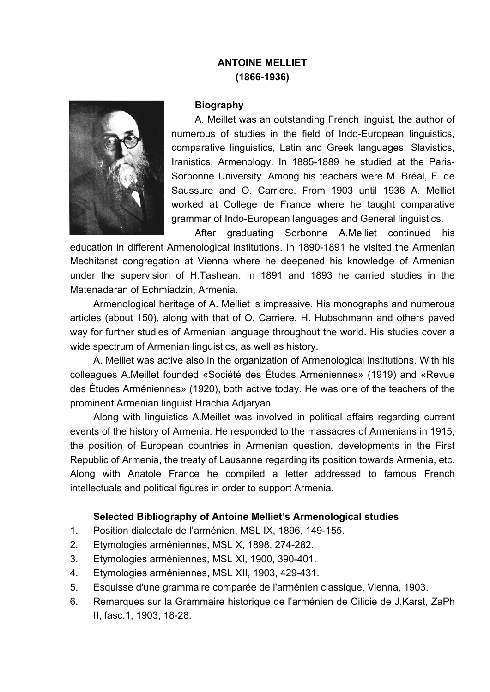## **ANTOINE MELLIET (1866-1936)**



## **Biography**

A. Meillet was an outstanding French linguist, the author of numerous of studies in the field of Indo-European linguistics, comparative linguistics, Latin and Greek languages, Slavistics, Iranistics, Armenology. In 1885-1889 he studied at the Paris-Sorbonne University. Among his teachers were M. Bréal, F. de Saussure and O. Carriere. From 1903 until 1936 A. Melliet worked at College de France where he taught comparative grammar of Indo-European languages and General linguistics.

After graduating Sorbonne A.Melliet continued his education in different Armenological institutions. In 1890-1891 he visited the Armenian Mechitarist congregation at Vienna where he deepened his knowledge of Armenian under the supervision of H.Tashean. In 1891 and 1893 he carried studies in the Matenadaran of Echmiadzin, Armenia.

Armenological heritage of A. Melliet is impressive. His monographs and numerous articles (about 150), along with that of O. Carriere, H. Hubschmann and others paved way for further studies of Armenian language throughout the world. His studies cover a wide spectrum of Armenian linguistics, as well as history.

A. Meillet was active also in the organization of Armenological institutions. With his colleagues A.Meillet founded «Société des Études Arméniennes» (1919) and «Revue des Études Arméniennes» (1920), both active today. He was one of the teachers of the prominent Armenian linguist Hrachia Adjaryan.

Along with linguistics A.Meillet was involved in political affairs regarding current events of the history of Armenia. He responded to the massacres of Armenians in 1915, the position of European countries in Armenian question, developments in the First Republic of Armenia, the treaty of Lausanne regarding its position towards Armenia, etc. Along with Anatole France he compiled a letter addressed to famous French intellectuals and political figures in order to support Armenia.

## **Selected Bibliography of Antoine Melliet's Armenological studies**

- 1. Position dialectale de l'arménien, MSL IX, 1896, 149-155.
- 2. Etymologies arméniennes, MSL X, 1898, 274-282.
- 3. Etymologies arméniennes, MSL XI, 1900, 390-401.
- 4. Etymologies arméniennes, MSL XII, 1903, 429-431.
- 5. Esquisse d'une grammaire comparée de l'arménien classique, Vienna, 1903.
- 6. Remarques sur la Grammaire historique de l'arménien de Cilicie de J.Karst, ZaPh II, fasc.1, 1903, 18-28.